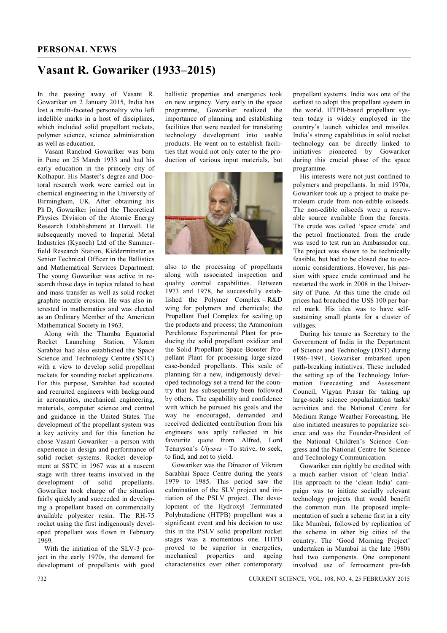## **Vasant R. Gowariker (1933–2015)**

In the passing away of Vasant R. Gowariker on 2 January 2015, India has lost a multi-faceted personality who left indelible marks in a host of disciplines, which included solid propellant rockets, polymer science, science administration as well as education.

Vasant Ranchod Gowariker was born in Pune on 25 March 1933 and had his early education in the princely city of Kolhapur. His Master's degree and Doctoral research work were carried out in chemical engineering in the University of Birmingham, UK. After obtaining his Ph D, Gowariker joined the Theoretical Physics Division of the Atomic Energy Research Establishment at Harwell. He subsequently moved to Imperial Metal Industries (Kynoch) Ltd of the Summerfield Research Station, Kidderminster as Senior Technical Officer in the Ballistics and Mathematical Services Department. The young Gowariker was active in research those days in topics related to heat and mass transfer as well as solid rocket graphite nozzle erosion. He was also interested in mathematics and was elected as an Ordinary Member of the American Mathematical Society in 1963.

Along with the Thumba Equatorial Rocket Launching Station, Vikram Sarabhai had also established the Space Science and Technology Centre (SSTC) with a view to develop solid propellant rockets for sounding rocket applications. For this purpose, Sarabhai had scouted and recruited engineers with background in aeronautics, mechanical engineering, materials, computer science and control and guidance in the United States. The development of the propellant system was a key activity and for this function he chose Vasant Gowariker – a person with experience in design and performance of solid rocket systems. Rocket development at SSTC in 1967 was at a nascent stage with three teams involved in the development of solid propellants. Gowariker took charge of the situation fairly quickly and succeeded in developing a propellant based on commercially available polyester resin. The RH-75 rocket using the first indigenously developed propellant was flown in February 1969.

With the initiation of the SLV-3 project in the early 1970s, the demand for development of propellants with good ballistic properties and energetics took on new urgency. Very early in the space programme, Gowariker realized the importance of planning and establishing facilities that were needed for translating technology development into usable products. He went on to establish facilities that would not only cater to the production of various input materials, but



also to the processing of propellants along with associated inspection and quality control capabilities. Between 1973 and 1978, he successfully established the Polymer Complex – R&D wing for polymers and chemicals; the Propellant Fuel Complex for scaling up the products and process; the Ammonium Perchlorate Experimental Plant for producing the solid propellant oxidizer and the Solid Propellant Space Booster Propellant Plant for processing large-sized case-bonded propellants. This scale of planning for a new, indigenously developed technology set a trend for the country that has subsequently been followed by others. The capability and confidence with which he pursued his goals and the way he encouraged, demanded and received dedicated contribution from his engineers was aptly reflected in his favourite quote from Alfred, Lord Tennyson's *Ulysses* – To strive, to seek, to find, and not to yield.

Gowariker was the Director of Vikram Sarabhai Space Centre during the years 1979 to 1985. This period saw the culmination of the SLV project and initiation of the PSLV project. The development of the Hydroxyl Terminated Polybutadiene (HTPB) propellant was a significant event and his decision to use this in the PSLV solid propellant rocket stages was a momentous one. HTPB proved to be superior in energetics, mechanical properties and ageing characteristics over other contemporary propellant systems. India was one of the earliest to adopt this propellant system in the world. HTPB-based propellant system today is widely employed in the country's launch vehicles and missiles. India's strong capabilities in solid rocket technology can be directly linked to initiatives pioneered by Gowariker during this crucial phase of the space programme.

His interests were not just confined to polymers and propellants. In mid 1970s, Gowariker took up a project to make petroleum crude from non-edible oilseeds. The non-edible oilseeds were a renewable source available from the forests. The crude was called 'space crude' and the petrol fractionated from the crude was used to test run an Ambassador car. The project was shown to be technically feasible, but had to be closed due to economic considerations. However, his passion with space crude continued and he restarted the work in 2008 in the University of Pune. At this time the crude oil prices had breached the US\$ 100 per barrel mark. His idea was to have selfsustaining small plants for a cluster of villages.

During his tenure as Secretary to the Government of India in the Department of Science and Technology (DST) during 1986–1991, Gowariker embarked upon path-breaking initiatives. These included the setting up of the Technology Information Forecasting and Assessment Council, Vigyan Prasar for taking up large-scale science popularization tasks/ activities and the National Centre for Medium Range Weather Forecasting. He also initiated measures to popularize science and was the Founder-President of the National Children's Science Congress and the National Centre for Science and Technology Communication.

Gowariker can rightly be credited with a much earlier vision of 'clean India'*.*  His approach to the 'clean India' campaign was to initiate socially relevant technology projects that would benefit the common man. He proposed implementation of such a scheme first in a city like Mumbai, followed by replication of the scheme in other big cities of the country. The 'Good Morning Project' undertaken in Mumbai in the late 1980s had two components. One component involved use of ferrocement pre-fab